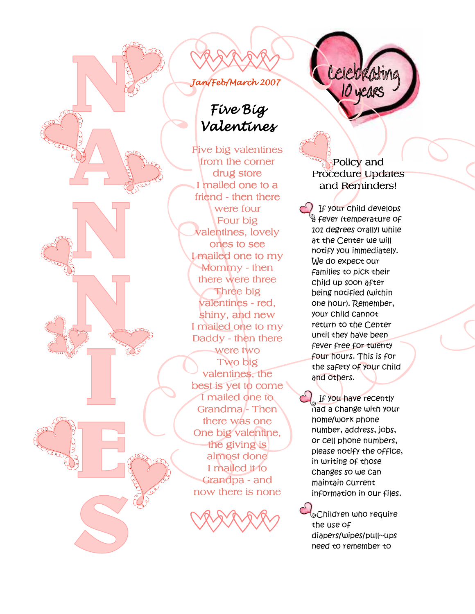# Jan/Feb/March 2007

# Five Big Valentines

Five big valentines from the corner drug store I mailed one to a friend - then there were four Four big valentines, lovely ones to see I mailed one to my Mommy- then there were three Three big valentines - red, shiny, and new I mailed one to my Daddy - then there were two Two big valentines, the best is yet to come I mailed one to Grandma/- Then there was one One big valentine, the giving is almost done I mailed it to Grandpa - and now there is none



Policy and Procedure Updates and Reminders!

ź Ĩ

10 years

If your child develops <sup>ခ္မ</sup> fever (temperature of 101 degrees orally) while at the Center we will notify you immediately. We do expect our families to pick their child up soon after being notified (within one hour). Remember, your child cannot return to the Center until they have been fever free for twenty four hours. This is for the safety of your child and others.

If you have recently  $n$ ad a change with your home/work phone number, address, jobs, or cell phone numbers, please notify the office, in writing of those changes so we can maintain current information in our files.

~Children who require the use of diapers/wipes/pull~ups need to remember to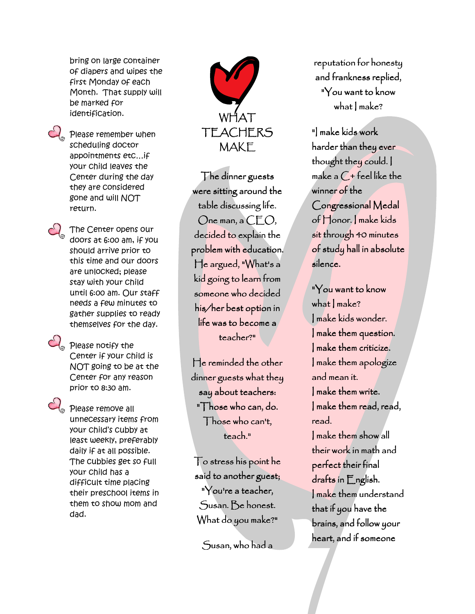bring on large container of diapers and wipes the first Monday of each Month. That supply will be marked for identification.

 $C_{\circ}$  Please remember when scheduling doctor appointments etc…if your child leaves the Center during the day they are considered gone and will NOT return.



The Center opens our doors at 6:00 am, if you should arrive prior to this time and our doors are unlocked; please stay with your child until 6:00 am. Our staff needs a few minutes to gather supplies to ready themselves for the day.



 $\mathcal{C}_0$  Please notify the Center if your child is NOT going to be at the Center for any reason prior to 8:30 am.



 $\mathbb{C}_\circ$  please remove all unnecessary items from your child's cubby at least weekly, preferably daily if at all possible. The cubbies get so full your child has a difficult time placing their preschool items in them to show mom and dad.



The dinner guests were sitting around the table discussing life.  $O$ ne man, a  $CEO$ , decided to explain the problem with education. He argued, "What's a kid going to learn from someone who decided his/her best option in life was to become a teacher?"

He reminded the other dinner guests what they say about teachers: "Those who can, do. Those who can't, teach."

To stress his point he said to another guest; "You're a teacher, Susan. Be honest. What do you make?"

 $S$ usan, who had a

reputation for honesty and frankness replied, "You want to know what I make?

"I make kids work harder than they ever thought they could. I make a  $C$  + feel like the winner of the Congressional Medal of Honor. I make kids sit through 40 minutes of study hall in absolute silence.

"You want to know what I make? I make kids wonder. I make them question. I make them criticize. I make them apologize and mean it. I make them write. I make them read, read, read. I make them show all their work in math and perfect their final drafts in English. I make them understand that if you have the brains, and follow your heart, and if someone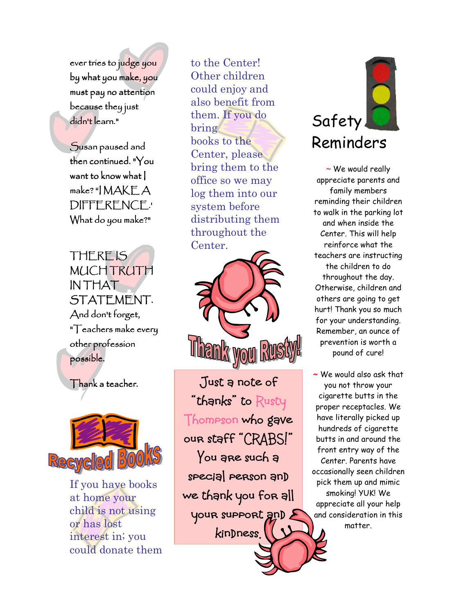ever tries to judge you by what you make, you must pay no attention because they just didn't learn."

Susan paused and then continued. "You want to know what I  $make$ ? " $MAKEA$ DIFFERENCE.' What do you make?"

THERE IS **MUCH TRUTH** IN THAT STATEMENT. And don't forget, "Teachers make every other profession possible.

Thank a teacher.



If you have books at home your child is not using or has lost interest in; you could donate them

to the Center! Other children could enjoy and also benefit from them. If you do bring books to the Center, please bring them to the office so we may log them into our system before distributing them throughout the Center.



Just a note of "thanks" to Rusty Thompson who gave our staff "CRABS!" You are such a special person and we thank you for all your support and E kindness.



 $\sim$  We would really appreciate parents and family members reminding their children to walk in the parking lot and when inside the Center. This will help reinforce what the teachers are instructing the children to do throughout the day. Otherwise, children and others are going to get hurt! Thank you so much for your understanding. Remember, an ounce of prevention is worth a pound of cure!

~ We would also ask that you not throw your cigarette butts in the proper receptacles. We have literally picked up hundreds of cigarette butts in and around the front entry way of the Center. Parents have occasionally seen children pick them up and mimic smoking! YUK! We appreciate all your help and consideration in this matter.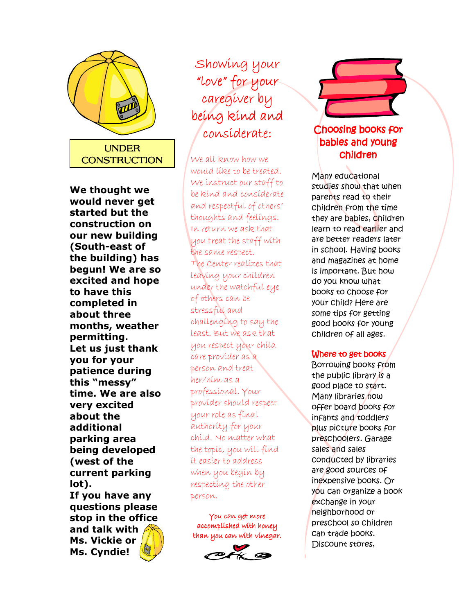

We thought we would never get started but the construction on our new building (South-east of the building) has begun! We are so excited and hope to have this completed in about three months, weather permitting. Let us just thank you for your patience during this "messy" time. We are also very excited about the additional parking area being developed (west of the current parking lot).

If you have any questions please stop in the office and talk with Ms. Vickie or Ms. Cyndie!

# Showing your "love" for your caregiver by being kind and consíderate:

We all know how we would like to be treated. We instruct our staff to be kind and considerate and respectful of others' thoughts and feelings. In return we ask that you treat the staff with the same respect. The Center realizes that leaving your children under the watchful eye of others can be stressful and challenging to say the least. But we ask that you respect your child care provider as a person and treat her/him as a professional. Your provider should respect your role as final authority for your child. No matter what the topic, you will find it easier to address when you begin by respecting the other person.

You can get more accomplished with honey than you can with vinegar.



## Choosing books for babies and young children

Many educational studies show that when parents read to their children from the time they are babies, children learn to read earlier and are better readers later in school. Having books and magazines at home is important. But how do you know what books to choose for your child? Here are some tips for getting good books for young children of all ages.

### Where to get books

Borrowing books from the public library is a good place to start. Many libraries now offer board books for infants and toddlers plus picture books for preschoolers. Garage sales and sales conducted by libraries are good sources of inexpensive books. Or you can organize a book exchange in your neighborhood or preschool so children can trade books. Discount stores,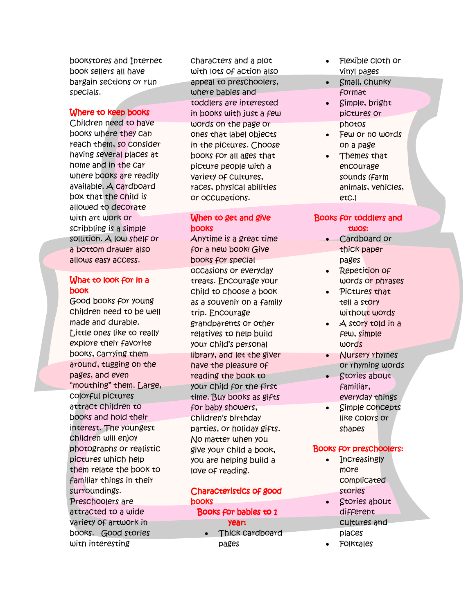bookstores and Internet book sellers all have bargain sections or run specials.

#### Where to keep books

Children need to have books where they can reach them, so consider having several places at home and in the car where books are readily available. A cardboard box that the child is allowed to decorate with art work or scribbling is a simple solution. A low shelf or a bottom drawer also allows easy access.

#### What to look for in a book

Good books for young children need to be well made and durable. Little ones like to really explore their favorite books, carrying them around, tugging on the pages, and even "mouthing" them. Large, colorful pictures attract children to books and hold their interest. The youngest children will enjoy photographs or realistic pictures which help them relate the book to familiar things in their surroundings. Preschoolers are attracted to a wide variety of artwork in books. Good stories with interesting

characters and a plot with lots of action also appeal to preschoolers, where babies and toddlers are interested in books with just a few words on the page or ones that label objects in the pictures. Choose books for all ages that picture people with a variety of cultures, races, physical abilities or occupations.

#### When to get and give books

Anytime is a great time for a new book! Give books for special occasions or everyday treats. Encourage your child to choose a book as a souvenir on a family trip. Encourage grandparents or other relatives to help build your child's personal library, and let the giver have the pleasure of reading the book to your child for the first time. Buy books as gifts for baby showers, children's birthday parties, or holiday gifts. No matter when you give your child a book, you are helping build a love of reading.

## Characteristics of good books

Books for babies to 1

- year:
- Thick cardboard pages
- Flexible cloth or vinyl pages
- Small, chunky format
- Simple, bright pictures or photos
- Few or no words on a page
- Themes that encourage sounds (farm animals, vehicles, etc.)

#### Books for toddlers and twos:

- Cardboard or thick paper pages
- Repetition of words or phrases
- Pictures that tell a story without words
- A story told in a few, simple words
- Nursery rhymes or rhyming words
- Stories about familiar, everyday things
- Simple concepts like colors or shapes

#### Books for preschoolers:

- Increasingly more complicated stories
- Stories about different cultures and places
- **Folktales**